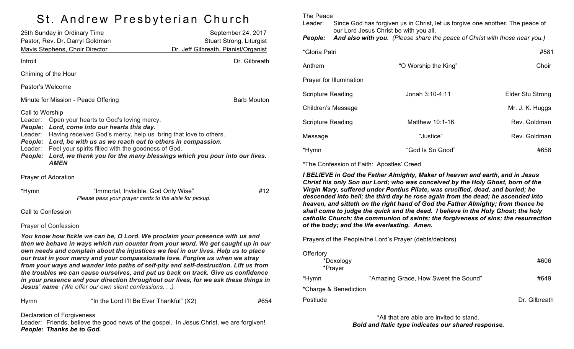## St. Andrew Presbyterian Church

| 25th Sunday in Ordinary Time<br>Pastor, Rev. Dr. Darryl Goldman                                                                                                                                                                                                                                                                                                                                                                                           | September 24, 2017<br>Stuart Strong, Liturgist |
|-----------------------------------------------------------------------------------------------------------------------------------------------------------------------------------------------------------------------------------------------------------------------------------------------------------------------------------------------------------------------------------------------------------------------------------------------------------|------------------------------------------------|
| Mavis Stephens, Choir Director                                                                                                                                                                                                                                                                                                                                                                                                                            | Dr. Jeff Gilbreath, Pianist/Organist           |
| Introit                                                                                                                                                                                                                                                                                                                                                                                                                                                   | Dr. Gilbreath                                  |
| Chiming of the Hour                                                                                                                                                                                                                                                                                                                                                                                                                                       |                                                |
| Pastor's Welcome                                                                                                                                                                                                                                                                                                                                                                                                                                          |                                                |
| Minute for Mission - Peace Offering                                                                                                                                                                                                                                                                                                                                                                                                                       | <b>Barb Mouton</b>                             |
| Call to Worship<br>Leader: Open your hearts to God's loving mercy.<br>Lord, come into our hearts this day.<br><b>People:</b><br>Having received God's mercy, help us bring that love to others.<br>Leader:<br>Lord, be with us as we reach out to others in compassion.<br>People:<br>Feel your spirits filled with the goodness of God.<br>Leader:<br>Lord, we thank you for the many blessings which you pour into our lives.<br>People:<br><b>AMEN</b> |                                                |
| Prayer of Adoration                                                                                                                                                                                                                                                                                                                                                                                                                                       |                                                |
| *Hymn<br>"Immortal, Invisible, God Only Wise"<br>Please pass your prayer cards to the aisle for pickup.                                                                                                                                                                                                                                                                                                                                                   | #12                                            |
| Call to Confession                                                                                                                                                                                                                                                                                                                                                                                                                                        |                                                |
| <b>Prayer of Confession</b>                                                                                                                                                                                                                                                                                                                                                                                                                               |                                                |
| You know how fickle we can be, O Lord. We proclaim your presence with us and<br>then we behave in ways which run counter from your word. We get caught up in our<br>own needs and complain about the injustices we feel in our lives. Help us to place<br>our trust in your mercy and your compassionate love. Forgive us when we stray                                                                                                                   |                                                |

*from your ways and wander into paths of self-pity and self-destruction. Lift us from the troubles we can cause ourselves, and put us back on track. Give us confidence in your presence and your direction throughout our lives, for we ask these things in Jesus' name (We offer our own silent confessions. . .)*

| <u>Iymn</u> | "In the Lord |
|-------------|--------------|
|             |              |

I'll Be Ever Thankful"  $(X2)$   $\qquad \qquad \qquad$   $\qquad \qquad$   $\qquad \qquad$   $\qquad \qquad$   $\qquad \qquad$   $\qquad \qquad$   $\qquad \qquad$   $\qquad \qquad$   $\qquad \qquad$   $\qquad \qquad$   $\qquad \qquad$   $\qquad \qquad$   $\qquad \qquad$   $\qquad \qquad$   $\qquad \qquad$   $\qquad$   $\qquad \qquad$   $\qquad \qquad$   $\qquad \qquad$   $\qquad \qquad$   $\qquad \qquad$   $\q$ 

Declaration of Forgiveness

Leader: Friends, believe the good news of the gospel. In Jesus Christ, we are forgiven! *People: Thanks be to God.*

The Peace

Leader: Since God has forgiven us in Christ, let us forgive one another. The peace of our Lord Jesus Christ be with you all. *People: And also with you. (Please share the peace of Christ with those near you.)*

| *Gloria Patri           |                      | #581             |
|-------------------------|----------------------|------------------|
| Anthem                  | "O Worship the King" | Choir            |
| Prayer for Illumination |                      |                  |
| Scripture Reading       | Jonah 3:10-4:11      | Elder Stu Strong |
| Children's Message      |                      | Mr. J. K. Huggs  |
| Scripture Reading       | Matthew 10:1-16      | Rev. Goldman     |
| Message                 | "Justice"            | Rev. Goldman     |
| *Hymn                   | "God Is So Good"     | #658             |

\*The Confession of Faith: Apostles' Creed

*I BELIEVE in God the Father Almighty, Maker of heaven and earth, and in Jesus Christ his only Son our Lord; who was conceived by the Holy Ghost, born of the Virgin Mary, suffered under Pontius Pilate, was crucified, dead, and buried; he descended into hell; the third day he rose again from the dead; he ascended into heaven, and sitteth on the right hand of God the Father Almighty; from thence he shall come to judge the quick and the dead. I believe in the Holy Ghost; the holy catholic Church; the communion of saints; the forgiveness of sins; the resurrection of the body; and the life everlasting. Amen.*

Prayers of the People/the Lord's Prayer (debts/debtors)

| Offertory<br>*Doxology<br>*Prayer |                                      | #606          |
|-----------------------------------|--------------------------------------|---------------|
| *Hymn                             | "Amazing Grace, How Sweet the Sound" | #649          |
| *Charge & Benediction             |                                      |               |
| Postlude                          |                                      | Dr. Gilbreath |

\*All that are able are invited to stand. *Bold and Italic type indicates our shared response.*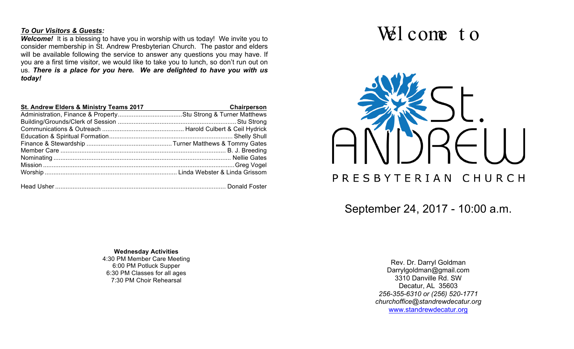#### *To Our Visitors & Guests:*

**Welcome!** It is a blessing to have you in worship with us today! We invite you to consider membership in St. Andrew Presbyterian Church. The pastor and elders will be available following the service to answer any questions you may have. If you are a first time visitor, we would like to take you to lunch, so don't run out on us. *There is a place for you here. We are delighted to have you with us today!*

| St. Andrew Elders & Ministry Teams 2017 | Chairperson |
|-----------------------------------------|-------------|
|                                         |             |
|                                         |             |
|                                         |             |
|                                         |             |
|                                         |             |
|                                         |             |
|                                         |             |
|                                         |             |
|                                         |             |
|                                         |             |

**Wednesday Activities** 4:30 PM Member Care Meeting 6:00 PM Potluck Supper 6:30 PM Classes for all ages 7:30 PM Choir Rehearsal

# Wel come to



September 24, 2017 - 10:00 a.m.

Rev. Dr. Darryl Goldman Darrylgoldman@gmail.com 3310 Danville Rd. SW Decatur, AL 35603 *256-355-6310 or (256) 520-1771 churchoffice@standrewdecatur.org* www.standrewdecatur.org